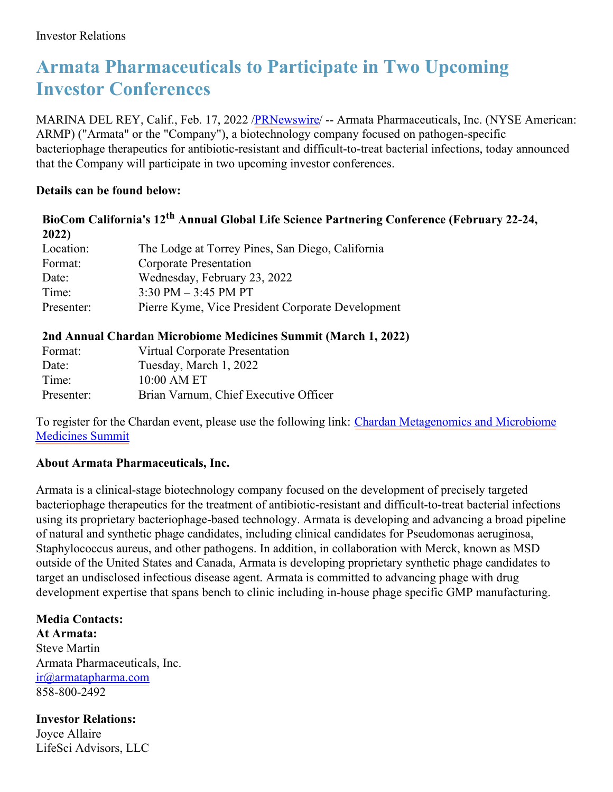# **Armata Pharmaceuticals to Participate in Two Upcoming Investor Conferences**

MARINA DEL REY, Calif., Feb. 17, 2022 /*PRNewswire*/ -- Armata Pharmaceuticals, Inc. (NYSE American: ARMP) ("Armata" or the "Company"), a biotechnology company focused on pathogen-specific bacteriophage therapeutics for antibiotic-resistant and difficult-to-treat bacterial infections, today announced that the Company will participate in two upcoming investor conferences.

# **Details can be found below:**

# **BioCom California's 12 th Annual Global Life Science Partnering Conference (February 22-24, 2022)**

| Location:  | The Lodge at Torrey Pines, San Diego, California  |
|------------|---------------------------------------------------|
|            |                                                   |
| Format:    | Corporate Presentation                            |
| Date:      | Wednesday, February 23, 2022                      |
| Time:      | $3:30 \text{ PM} - 3:45 \text{ PM} \text{ PT}$    |
| Presenter: | Pierre Kyme, Vice President Corporate Development |

# **2nd Annual Chardan Microbiome Medicines Summit (March 1, 2022)**

| Format:    | Virtual Corporate Presentation        |
|------------|---------------------------------------|
| Date:      | Tuesday, March 1, 2022                |
| Time:      | 10:00 AM ET                           |
| Presenter: | Brian Varnum, Chief Executive Officer |

To register for the Chardan event, please use the following link: Chardan [Metagenomics](https://c212.net/c/link/?t=0&l=en&o=3446666-1&h=4064367629&u=https%3A%2F%2Fwww.meetmax.com%2Fsched%2Fevent_81307%2Finvestor_reg_new.html%3Fattendee_role_id%3DINVESTOR&a=Chardan+Metagenomics+and+Microbiome+Medicines+Summit) and Microbiome Medicines Summit

# **About Armata Pharmaceuticals, Inc.**

Armata is a clinical-stage biotechnology company focused on the development of precisely targeted bacteriophage therapeutics for the treatment of antibiotic-resistant and difficult-to-treat bacterial infections using its proprietary bacteriophage-based technology. Armata is developing and advancing a broad pipeline of natural and synthetic phage candidates, including clinical candidates for Pseudomonas aeruginosa, Staphylococcus aureus, and other pathogens. In addition, in collaboration with Merck, known as MSD outside of the United States and Canada, Armata is developing proprietary synthetic phage candidates to target an undisclosed infectious disease agent. Armata is committed to advancing phage with drug development expertise that spans bench to clinic including in-house phage specific GMP manufacturing.

**Media Contacts: At Armata:** Steve Martin Armata Pharmaceuticals, Inc. [ir@armatapharma.com](mailto:ir@armatapharma.com) 858-800-2492

**Investor Relations:** Joyce Allaire LifeSci Advisors, LLC